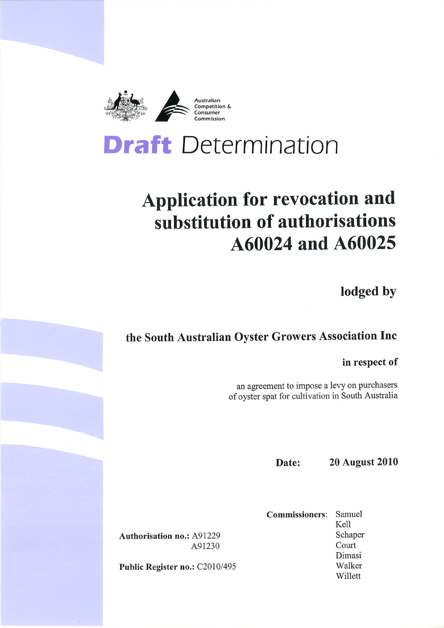

# **Draft** Determination

# **Application for revocation and** substitution of authorisations A60024 and A60025

lodged by

## the South Australian Oyster Growers Association Inc

in respect of

an agreement to impose a levy on purchasers of oyster spat for cultivation in South Australia

> **20 August 2010** Date:

**Commissioners:** Samuel Kell Schaper Court Dimasi Walker Willett

**Authorisation no.: A91229** A91230

Public Register no.: C2010/495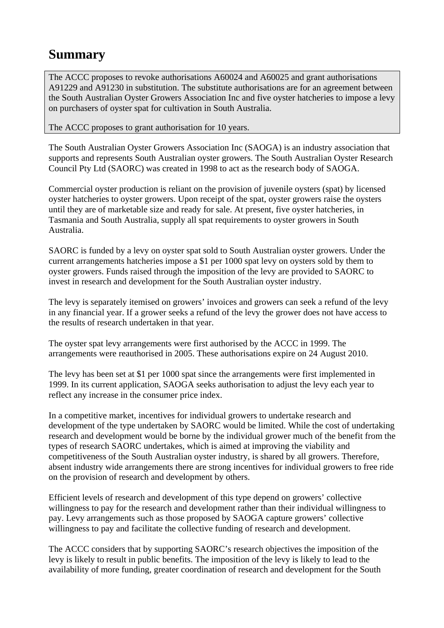## **Summary**

The ACCC proposes to revoke authorisations A60024 and A60025 and grant authorisations A91229 and A91230 in substitution. The substitute authorisations are for an agreement between the South Australian Oyster Growers Association Inc and five oyster hatcheries to impose a levy on purchasers of oyster spat for cultivation in South Australia.

The ACCC proposes to grant authorisation for 10 years.

The South Australian Oyster Growers Association Inc (SAOGA) is an industry association that supports and represents South Australian oyster growers. The South Australian Oyster Research Council Pty Ltd (SAORC) was created in 1998 to act as the research body of SAOGA.

Commercial oyster production is reliant on the provision of juvenile oysters (spat) by licensed oyster hatcheries to oyster growers. Upon receipt of the spat, oyster growers raise the oysters until they are of marketable size and ready for sale. At present, five oyster hatcheries, in Tasmania and South Australia, supply all spat requirements to oyster growers in South Australia.

SAORC is funded by a levy on oyster spat sold to South Australian oyster growers. Under the current arrangements hatcheries impose a \$1 per 1000 spat levy on oysters sold by them to oyster growers. Funds raised through the imposition of the levy are provided to SAORC to invest in research and development for the South Australian oyster industry.

The levy is separately itemised on growers' invoices and growers can seek a refund of the levy in any financial year. If a grower seeks a refund of the levy the grower does not have access to the results of research undertaken in that year.

The oyster spat levy arrangements were first authorised by the ACCC in 1999. The arrangements were reauthorised in 2005. These authorisations expire on 24 August 2010.

The levy has been set at \$1 per 1000 spat since the arrangements were first implemented in 1999. In its current application, SAOGA seeks authorisation to adjust the levy each year to reflect any increase in the consumer price index.

In a competitive market, incentives for individual growers to undertake research and development of the type undertaken by SAORC would be limited. While the cost of undertaking research and development would be borne by the individual grower much of the benefit from the types of research SAORC undertakes, which is aimed at improving the viability and competitiveness of the South Australian oyster industry, is shared by all growers. Therefore, absent industry wide arrangements there are strong incentives for individual growers to free ride on the provision of research and development by others.

Efficient levels of research and development of this type depend on growers' collective willingness to pay for the research and development rather than their individual willingness to pay. Levy arrangements such as those proposed by SAOGA capture growers' collective willingness to pay and facilitate the collective funding of research and development.

The ACCC considers that by supporting SAORC's research objectives the imposition of the levy is likely to result in public benefits. The imposition of the levy is likely to lead to the availability of more funding, greater coordination of research and development for the South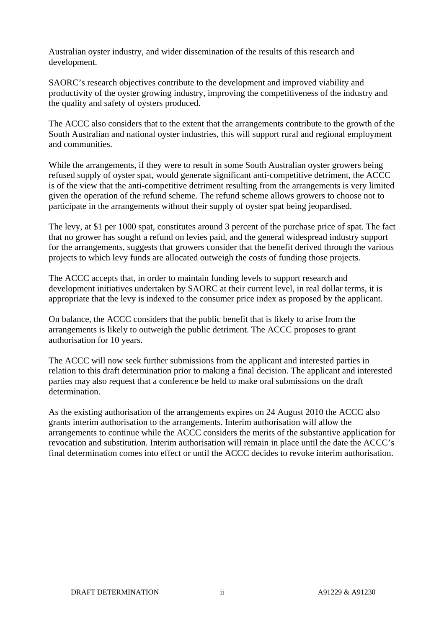Australian oyster industry, and wider dissemination of the results of this research and development.

SAORC's research objectives contribute to the development and improved viability and productivity of the oyster growing industry, improving the competitiveness of the industry and the quality and safety of oysters produced.

The ACCC also considers that to the extent that the arrangements contribute to the growth of the South Australian and national oyster industries, this will support rural and regional employment and communities.

While the arrangements, if they were to result in some South Australian oyster growers being refused supply of oyster spat, would generate significant anti-competitive detriment, the ACCC is of the view that the anti-competitive detriment resulting from the arrangements is very limited given the operation of the refund scheme. The refund scheme allows growers to choose not to participate in the arrangements without their supply of oyster spat being jeopardised.

The levy, at \$1 per 1000 spat, constitutes around 3 percent of the purchase price of spat. The fact that no grower has sought a refund on levies paid, and the general widespread industry support for the arrangements, suggests that growers consider that the benefit derived through the various projects to which levy funds are allocated outweigh the costs of funding those projects.

The ACCC accepts that, in order to maintain funding levels to support research and development initiatives undertaken by SAORC at their current level, in real dollar terms, it is appropriate that the levy is indexed to the consumer price index as proposed by the applicant.

On balance, the ACCC considers that the public benefit that is likely to arise from the arrangements is likely to outweigh the public detriment. The ACCC proposes to grant authorisation for 10 years.

The ACCC will now seek further submissions from the applicant and interested parties in relation to this draft determination prior to making a final decision. The applicant and interested parties may also request that a conference be held to make oral submissions on the draft determination.

As the existing authorisation of the arrangements expires on 24 August 2010 the ACCC also grants interim authorisation to the arrangements. Interim authorisation will allow the arrangements to continue while the ACCC considers the merits of the substantive application for revocation and substitution. Interim authorisation will remain in place until the date the ACCC's final determination comes into effect or until the ACCC decides to revoke interim authorisation.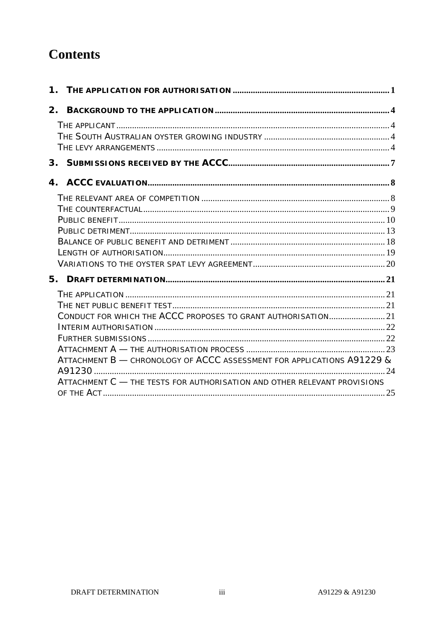## **Contents**

| CONDUCT FOR WHICH THE ACCC PROPOSES TO GRANT AUTHORISATION 21            |  |
|--------------------------------------------------------------------------|--|
|                                                                          |  |
|                                                                          |  |
|                                                                          |  |
| ATTACHMENT B - CHRONOLOGY OF ACCC ASSESSMENT FOR APPLICATIONS A91229 &   |  |
|                                                                          |  |
| ATTACHMENT C - THE TESTS FOR AUTHORISATION AND OTHER RELEVANT PROVISIONS |  |
|                                                                          |  |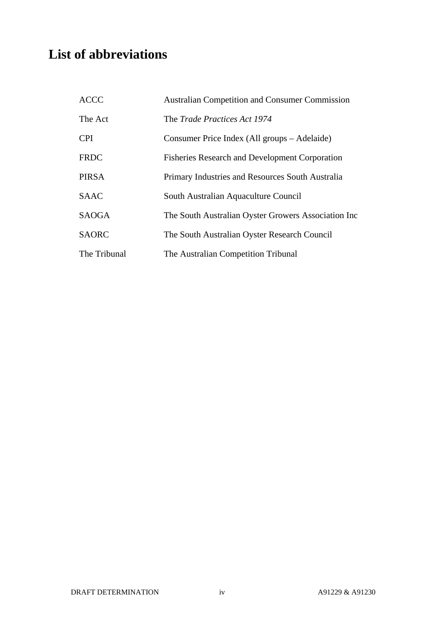## **List of abbreviations**

| <b>ACCC</b>  | <b>Australian Competition and Consumer Commission</b> |
|--------------|-------------------------------------------------------|
| The Act      | The <i>Trade Practices Act 1974</i>                   |
| <b>CPI</b>   | Consumer Price Index (All groups – Adelaide)          |
| <b>FRDC</b>  | <b>Fisheries Research and Development Corporation</b> |
| <b>PIRSA</b> | Primary Industries and Resources South Australia      |
| <b>SAAC</b>  | South Australian Aquaculture Council                  |
| <b>SAOGA</b> | The South Australian Oyster Growers Association Inc   |
| <b>SAORC</b> | The South Australian Oyster Research Council          |
| The Tribunal | The Australian Competition Tribunal                   |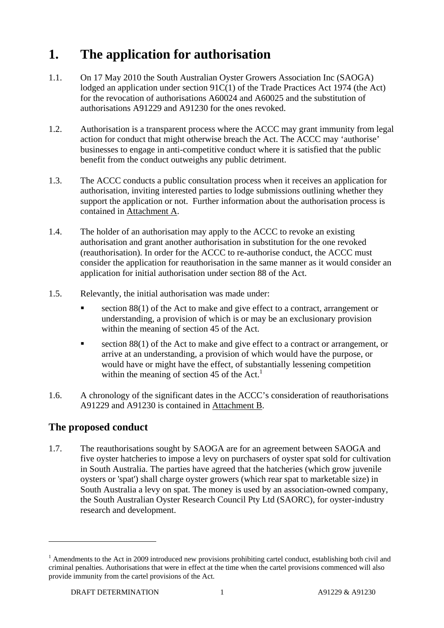## **1. The application for authorisation**

- 1.1. On 17 May 2010 the South Australian Oyster Growers Association Inc (SAOGA) lodged an application under section 91C(1) of the Trade Practices Act 1974 (the Act) for the revocation of authorisations A60024 and A60025 and the substitution of authorisations A91229 and A91230 for the ones revoked.
- 1.2. Authorisation is a transparent process where the ACCC may grant immunity from legal action for conduct that might otherwise breach the Act. The ACCC may 'authorise' businesses to engage in anti-competitive conduct where it is satisfied that the public benefit from the conduct outweighs any public detriment.
- 1.3. The ACCC conducts a public consultation process when it receives an application for authorisation, inviting interested parties to lodge submissions outlining whether they support the application or not. Further information about the authorisation process is contained in Attachment A.
- 1.4. The holder of an authorisation may apply to the ACCC to revoke an existing authorisation and grant another authorisation in substitution for the one revoked (reauthorisation). In order for the ACCC to re-authorise conduct, the ACCC must consider the application for reauthorisation in the same manner as it would consider an application for initial authorisation under section 88 of the Act.
- 1.5. Relevantly, the initial authorisation was made under:
	- section 88(1) of the Act to make and give effect to a contract, arrangement or understanding, a provision of which is or may be an exclusionary provision within the meaning of section 45 of the Act.
	- section 88(1) of the Act to make and give effect to a contract or arrangement, or arrive at an understanding, a provision of which would have the purpose, or would have or might have the effect, of substantially lessening competition within the meaning of section 45 of the  $Act.$ <sup>1</sup>
- 1.6. A chronology of the significant dates in the ACCC's consideration of reauthorisations A91229 and A91230 is contained in Attachment B.

### **The proposed conduct**

 $\overline{a}$ 

1.7. The reauthorisations sought by SAOGA are for an agreement between SAOGA and five oyster hatcheries to impose a levy on purchasers of oyster spat sold for cultivation in South Australia. The parties have agreed that the hatcheries (which grow juvenile oysters or 'spat') shall charge oyster growers (which rear spat to marketable size) in South Australia a levy on spat. The money is used by an association-owned company, the South Australian Oyster Research Council Pty Ltd (SAORC), for oyster-industry research and development.

<sup>&</sup>lt;sup>1</sup> Amendments to the Act in 2009 introduced new provisions prohibiting cartel conduct, establishing both civil and criminal penalties. Authorisations that were in effect at the time when the cartel provisions commenced will also provide immunity from the cartel provisions of the Act.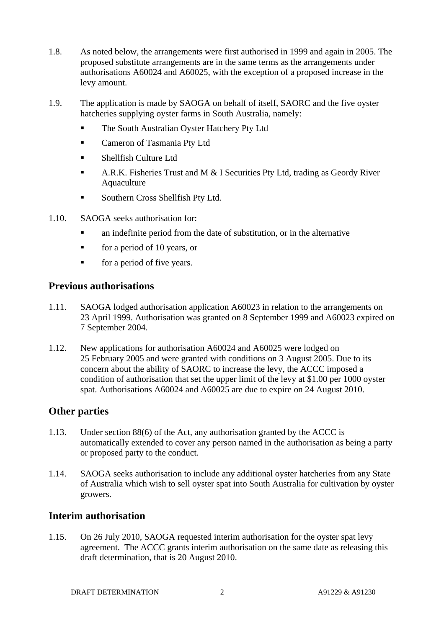- 1.8. As noted below, the arrangements were first authorised in 1999 and again in 2005. The proposed substitute arrangements are in the same terms as the arrangements under authorisations A60024 and A60025, with the exception of a proposed increase in the levy amount.
- 1.9. The application is made by SAOGA on behalf of itself, SAORC and the five oyster hatcheries supplying oyster farms in South Australia, namely:
	- The South Australian Oyster Hatchery Pty Ltd
	- Cameron of Tasmania Pty Ltd
	- Shellfish Culture Ltd
	- A.R.K. Fisheries Trust and M  $&$  I Securities Pty Ltd, trading as Geordy River Aquaculture
	- **Southern Cross Shellfish Pty Ltd.**
- 1.10. SAOGA seeks authorisation for:
	- an indefinite period from the date of substitution, or in the alternative
	- $\blacksquare$  for a period of 10 years, or
	- **for a period of five years.**

#### **Previous authorisations**

- 1.11. SAOGA lodged authorisation application A60023 in relation to the arrangements on 23 April 1999. Authorisation was granted on 8 September 1999 and A60023 expired on 7 September 2004.
- 1.12. New applications for authorisation A60024 and A60025 were lodged on 25 February 2005 and were granted with conditions on 3 August 2005. Due to its concern about the ability of SAORC to increase the levy, the ACCC imposed a condition of authorisation that set the upper limit of the levy at \$1.00 per 1000 oyster spat. Authorisations A60024 and A60025 are due to expire on 24 August 2010.

#### **Other parties**

- 1.13. Under section 88(6) of the Act, any authorisation granted by the ACCC is automatically extended to cover any person named in the authorisation as being a party or proposed party to the conduct.
- 1.14. SAOGA seeks authorisation to include any additional oyster hatcheries from any State of Australia which wish to sell oyster spat into South Australia for cultivation by oyster growers.

#### **Interim authorisation**

1.15. On 26 July 2010, SAOGA requested interim authorisation for the oyster spat levy agreement. The ACCC grants interim authorisation on the same date as releasing this draft determination, that is 20 August 2010.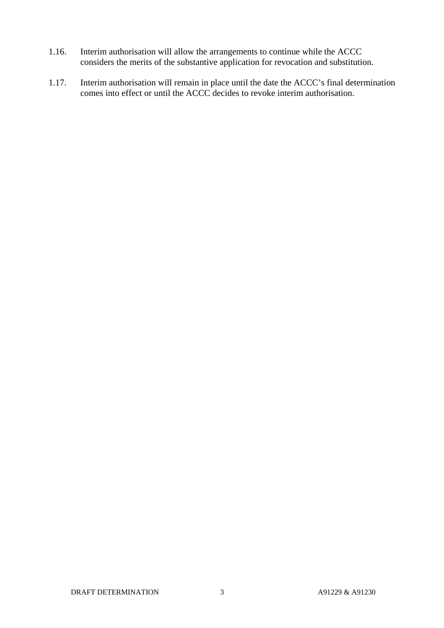- 1.16. Interim authorisation will allow the arrangements to continue while the ACCC considers the merits of the substantive application for revocation and substitution.
- 1.17. Interim authorisation will remain in place until the date the ACCC's final determination comes into effect or until the ACCC decides to revoke interim authorisation.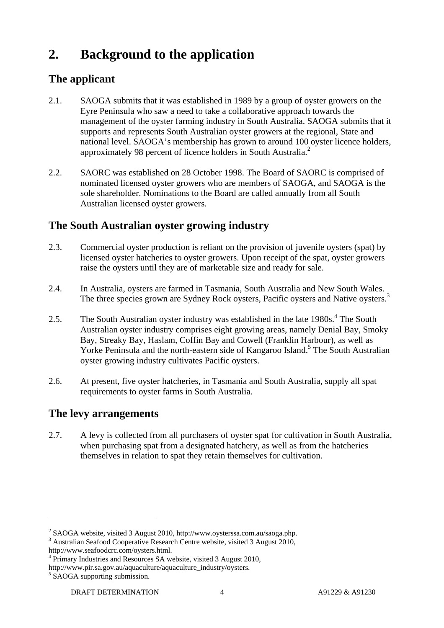## **2. Background to the application**

## **The applicant**

- 2.1. SAOGA submits that it was established in 1989 by a group of oyster growers on the Eyre Peninsula who saw a need to take a collaborative approach towards the management of the oyster farming industry in South Australia. SAOGA submits that it supports and represents South Australian oyster growers at the regional, State and national level. SAOGA's membership has grown to around 100 oyster licence holders, approximately 98 percent of licence holders in South Australia.<sup>2</sup>
- 2.2. SAORC was established on 28 October 1998. The Board of SAORC is comprised of nominated licensed oyster growers who are members of SAOGA, and SAOGA is the sole shareholder. Nominations to the Board are called annually from all South Australian licensed oyster growers.

## **The South Australian oyster growing industry**

- 2.3. Commercial oyster production is reliant on the provision of juvenile oysters (spat) by licensed oyster hatcheries to oyster growers. Upon receipt of the spat, oyster growers raise the oysters until they are of marketable size and ready for sale.
- 2.4. In Australia, oysters are farmed in Tasmania, South Australia and New South Wales. The three species grown are Sydney Rock oysters, Pacific oysters and Native oysters.<sup>3</sup>
- 2.5. The South Australian oyster industry was established in the late  $1980s<sup>4</sup>$ . The South Australian oyster industry comprises eight growing areas, namely Denial Bay, Smoky Bay, Streaky Bay, Haslam, Coffin Bay and Cowell (Franklin Harbour), as well as Yorke Peninsula and the north-eastern side of Kangaroo Island.<sup>5</sup> The South Australian oyster growing industry cultivates Pacific oysters.
- 2.6. At present, five oyster hatcheries, in Tasmania and South Australia, supply all spat requirements to oyster farms in South Australia.

### **The levy arrangements**

2.7. A levy is collected from all purchasers of oyster spat for cultivation in South Australia, when purchasing spat from a designated hatchery, as well as from the hatcheries themselves in relation to spat they retain themselves for cultivation.

<sup>&</sup>lt;sup>2</sup> SAOGA website, visited 3 August 2010, http://www.oysterssa.com.au/saoga.php.  $\frac{3}{2}$  August 2010

Australian Seafood Cooperative Research Centre website, visited 3 August 2010, http://www.seafoodcrc.com/oysters.html. 4

<sup>&</sup>lt;sup>4</sup> Primary Industries and Resources SA website, visited 3 August 2010,

http://www.pir.sa.gov.au/aquaculture/aquaculture\_industry/oysters.

<sup>&</sup>lt;sup>5</sup> SAOGA supporting submission.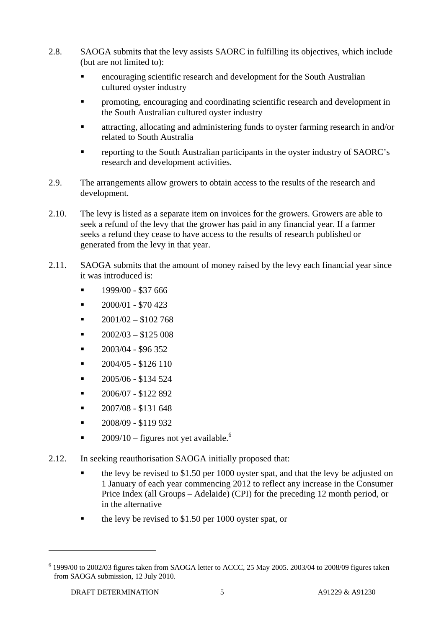- 2.8. SAOGA submits that the levy assists SAORC in fulfilling its objectives, which include (but are not limited to):
	- encouraging scientific research and development for the South Australian cultured oyster industry
	- promoting, encouraging and coordinating scientific research and development in the South Australian cultured oyster industry
	- attracting, allocating and administering funds to oyster farming research in and/or related to South Australia
	- reporting to the South Australian participants in the oyster industry of SAORC's research and development activities.
- 2.9. The arrangements allow growers to obtain access to the results of the research and development.
- 2.10. The levy is listed as a separate item on invoices for the growers. Growers are able to seek a refund of the levy that the grower has paid in any financial year. If a farmer seeks a refund they cease to have access to the results of research published or generated from the levy in that year.
- 2.11. SAOGA submits that the amount of money raised by the levy each financial year since it was introduced is:
	- 1999/00 \$37 666
	- $\blacksquare$  2000/01 \$70 423
	- $2001/02 $102768$
	- 2002/03 \$125 008
	- $-2003/04 $96352$
	- 2004/05 \$126 110
	- 2005/06 \$134 524
	- 2006/07 \$122 892
	- 2007/08 \$131 648
	- 2008/09 \$119 932
	- $2009/10$  figures not yet available.<sup>6</sup>
- 2.12. In seeking reauthorisation SAOGA initially proposed that:
	- the levy be revised to \$1.50 per 1000 oyster spat, and that the levy be adjusted on 1 January of each year commencing 2012 to reflect any increase in the Consumer Price Index (all Groups – Adelaide) (CPI) for the preceding 12 month period, or in the alternative
	- the levy be revised to \$1.50 per 1000 oyster spat, or

 $6$  1999/00 to 2002/03 figures taken from SAOGA letter to ACCC, 25 May 2005. 2003/04 to 2008/09 figures taken from SAOGA submission, 12 July 2010.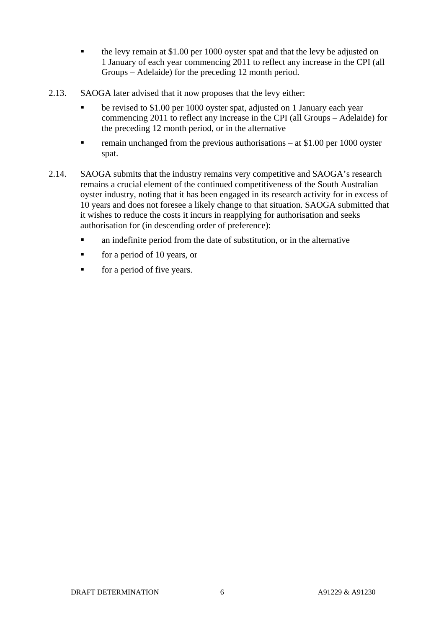- the levy remain at \$1.00 per 1000 oyster spat and that the levy be adjusted on 1 January of each year commencing 2011 to reflect any increase in the CPI (all Groups – Adelaide) for the preceding 12 month period.
- 2.13. SAOGA later advised that it now proposes that the levy either:
	- **•** be revised to \$1.00 per 1000 oyster spat, adjusted on 1 January each year commencing 2011 to reflect any increase in the CPI (all Groups – Adelaide) for the preceding 12 month period, or in the alternative
	- remain unchanged from the previous authorisations at \$1.00 per 1000 oyster spat.
- 2.14. SAOGA submits that the industry remains very competitive and SAOGA's research remains a crucial element of the continued competitiveness of the South Australian oyster industry, noting that it has been engaged in its research activity for in excess of 10 years and does not foresee a likely change to that situation. SAOGA submitted that it wishes to reduce the costs it incurs in reapplying for authorisation and seeks authorisation for (in descending order of preference):
	- an indefinite period from the date of substitution, or in the alternative
	- for a period of 10 years, or
	- for a period of five years.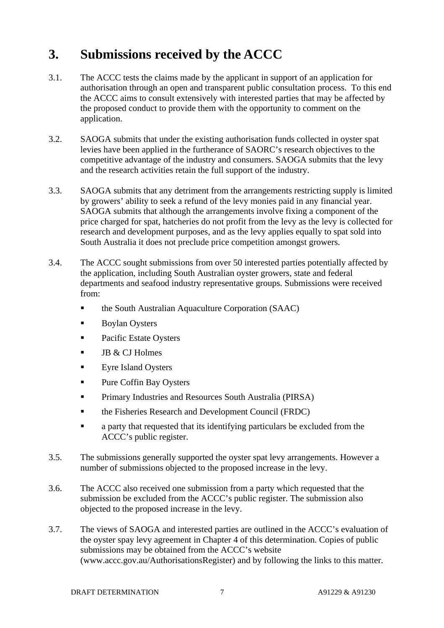## **3. Submissions received by the ACCC**

- 3.1. The ACCC tests the claims made by the applicant in support of an application for authorisation through an open and transparent public consultation process. To this end the ACCC aims to consult extensively with interested parties that may be affected by the proposed conduct to provide them with the opportunity to comment on the application.
- 3.2. SAOGA submits that under the existing authorisation funds collected in oyster spat levies have been applied in the furtherance of SAORC's research objectives to the competitive advantage of the industry and consumers. SAOGA submits that the levy and the research activities retain the full support of the industry.
- 3.3. SAOGA submits that any detriment from the arrangements restricting supply is limited by growers' ability to seek a refund of the levy monies paid in any financial year. SAOGA submits that although the arrangements involve fixing a component of the price charged for spat, hatcheries do not profit from the levy as the levy is collected for research and development purposes, and as the levy applies equally to spat sold into South Australia it does not preclude price competition amongst growers.
- 3.4. The ACCC sought submissions from over 50 interested parties potentially affected by the application, including South Australian oyster growers, state and federal departments and seafood industry representative groups. Submissions were received from:
	- the South Australian Aquaculture Corporation (SAAC)
	- Boylan Oysters
	- Pacific Estate Oysters
	- JB & CJ Holmes
	- **Eyre Island Oysters**
	- **Pure Coffin Bay Oysters**
	- **Primary Industries and Resources South Australia (PIRSA)**
	- the Fisheries Research and Development Council (FRDC)
	- **•** a party that requested that its identifying particulars be excluded from the ACCC's public register.
- 3.5. The submissions generally supported the oyster spat levy arrangements. However a number of submissions objected to the proposed increase in the levy.
- 3.6. The ACCC also received one submission from a party which requested that the submission be excluded from the ACCC's public register. The submission also objected to the proposed increase in the levy.
- 3.7. The views of SAOGA and interested parties are outlined in the ACCC's evaluation of the oyster spay levy agreement in Chapter 4 of this determination. Copies of public submissions may be obtained from the ACCC's website (www.accc.gov.au/AuthorisationsRegister) and by following the links to this matter.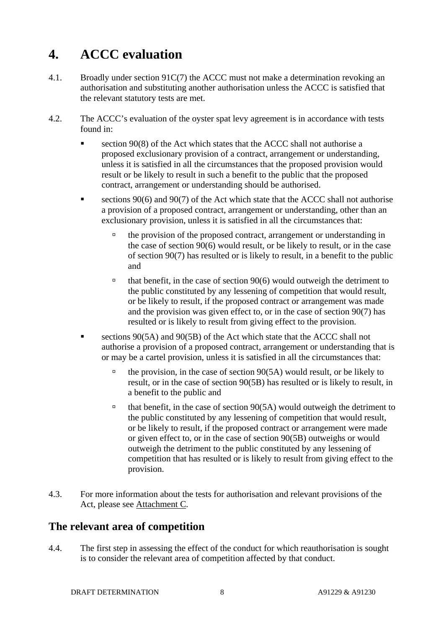## **4. ACCC evaluation**

- 4.1. Broadly under section 91C(7) the ACCC must not make a determination revoking an authorisation and substituting another authorisation unless the ACCC is satisfied that the relevant statutory tests are met.
- 4.2. The ACCC's evaluation of the oyster spat levy agreement is in accordance with tests found in:
	- section 90(8) of the Act which states that the ACCC shall not authorise a proposed exclusionary provision of a contract, arrangement or understanding, unless it is satisfied in all the circumstances that the proposed provision would result or be likely to result in such a benefit to the public that the proposed contract, arrangement or understanding should be authorised.
	- sections 90(6) and 90(7) of the Act which state that the ACCC shall not authorise a provision of a proposed contract, arrangement or understanding, other than an exclusionary provision, unless it is satisfied in all the circumstances that:
		- $\Box$  the provision of the proposed contract, arrangement or understanding in the case of section 90(6) would result, or be likely to result, or in the case of section 90(7) has resulted or is likely to result, in a benefit to the public and
		- $\theta$  that benefit, in the case of section 90(6) would outweigh the detriment to the public constituted by any lessening of competition that would result, or be likely to result, if the proposed contract or arrangement was made and the provision was given effect to, or in the case of section 90(7) has resulted or is likely to result from giving effect to the provision.
	- sections 90(5A) and 90(5B) of the Act which state that the ACCC shall not authorise a provision of a proposed contract, arrangement or understanding that is or may be a cartel provision, unless it is satisfied in all the circumstances that:
		- $\Phi$  the provision, in the case of section 90(5A) would result, or be likely to result, or in the case of section 90(5B) has resulted or is likely to result, in a benefit to the public and
		- $\theta$  that benefit, in the case of section 90(5A) would outweigh the detriment to the public constituted by any lessening of competition that would result, or be likely to result, if the proposed contract or arrangement were made or given effect to, or in the case of section 90(5B) outweighs or would outweigh the detriment to the public constituted by any lessening of competition that has resulted or is likely to result from giving effect to the provision.
- 4.3. For more information about the tests for authorisation and relevant provisions of the Act, please see Attachment C.

### **The relevant area of competition**

4.4. The first step in assessing the effect of the conduct for which reauthorisation is sought is to consider the relevant area of competition affected by that conduct.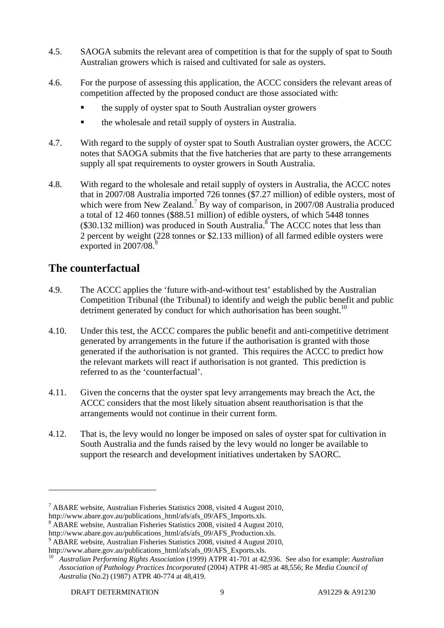- 4.5. SAOGA submits the relevant area of competition is that for the supply of spat to South Australian growers which is raised and cultivated for sale as oysters.
- 4.6. For the purpose of assessing this application, the ACCC considers the relevant areas of competition affected by the proposed conduct are those associated with:
	- the supply of oyster spat to South Australian oyster growers
	- the wholesale and retail supply of oysters in Australia.
- 4.7. With regard to the supply of oyster spat to South Australian oyster growers, the ACCC notes that SAOGA submits that the five hatcheries that are party to these arrangements supply all spat requirements to oyster growers in South Australia.
- 4.8. With regard to the wholesale and retail supply of oysters in Australia, the ACCC notes that in 2007/08 Australia imported 726 tonnes (\$7.27 million) of edible oysters, most of which were from New Zealand.<sup>7</sup> By way of comparison, in 2007/08 Australia produced a total of 12 460 tonnes (\$88.51 million) of edible oysters, of which 5448 tonnes  $(\$30.132$  million) was produced in South Australia.<sup>8</sup> The ACCC notes that less than 2 percent by weight (228 tonnes or \$2.133 million) of all farmed edible oysters were exported in 2007/08.9

## **The counterfactual**

- 4.9. The ACCC applies the 'future with-and-without test' established by the Australian Competition Tribunal (the Tribunal) to identify and weigh the public benefit and public detriment generated by conduct for which authorisation has been sought.<sup>10</sup>
- 4.10. Under this test, the ACCC compares the public benefit and anti-competitive detriment generated by arrangements in the future if the authorisation is granted with those generated if the authorisation is not granted. This requires the ACCC to predict how the relevant markets will react if authorisation is not granted. This prediction is referred to as the 'counterfactual'.
- 4.11. Given the concerns that the oyster spat levy arrangements may breach the Act, the ACCC considers that the most likely situation absent reauthorisation is that the arrangements would not continue in their current form.
- 4.12. That is, the levy would no longer be imposed on sales of oyster spat for cultivation in South Australia and the funds raised by the levy would no longer be available to support the research and development initiatives undertaken by SAORC.

 $7$  ABARE website, Australian Fisheries Statistics 2008, visited 4 August 2010, http://www.abare.gov.au/publications\_html/afs/afs\_09/AFS\_Imports.xls.

ABARE website, Australian Fisheries Statistics 2008, visited 4 August 2010,

http://www.abare.gov.au/publications\_html/afs/afs\_09/AFS\_Production.xls.

<sup>&</sup>lt;sup>9</sup> ABARE website, Australian Fisheries Statistics 2008, visited 4 August 2010, http://www.abare.gov.au/publications html/afs/afs 09/AFS Exports.xls.

http://www.abare.gov.au/publicationsal/affadtationsal/affadtations-dights Australian Performing Rights Association *Association of Pathology Practices Incorporated* (2004) ATPR 41-985 at 48,556; Re *Media Council of Australia* (No.2) (1987) ATPR 40-774 at 48,419.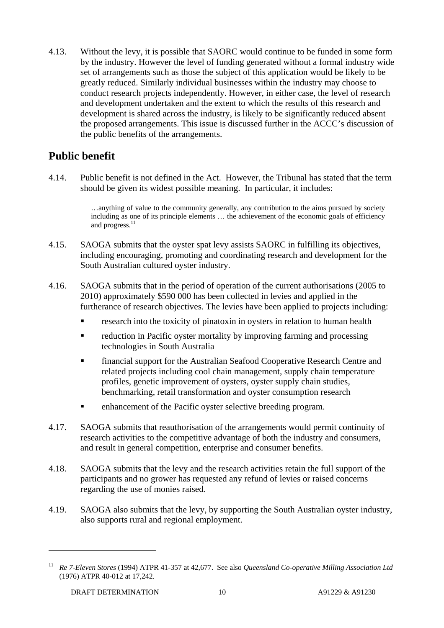4.13. Without the levy, it is possible that SAORC would continue to be funded in some form by the industry. However the level of funding generated without a formal industry wide set of arrangements such as those the subject of this application would be likely to be greatly reduced. Similarly individual businesses within the industry may choose to conduct research projects independently. However, in either case, the level of research and development undertaken and the extent to which the results of this research and development is shared across the industry, is likely to be significantly reduced absent the proposed arrangements. This issue is discussed further in the ACCC's discussion of the public benefits of the arrangements.

## **Public benefit**

4.14. Public benefit is not defined in the Act. However, the Tribunal has stated that the term should be given its widest possible meaning. In particular, it includes:

> …anything of value to the community generally, any contribution to the aims pursued by society including as one of its principle elements … the achievement of the economic goals of efficiency and progress.<sup>11</sup>

- 4.15. SAOGA submits that the oyster spat levy assists SAORC in fulfilling its objectives, including encouraging, promoting and coordinating research and development for the South Australian cultured oyster industry.
- 4.16. SAOGA submits that in the period of operation of the current authorisations (2005 to 2010) approximately \$590 000 has been collected in levies and applied in the furtherance of research objectives. The levies have been applied to projects including:
	- research into the toxicity of pinatoxin in oysters in relation to human health
	- reduction in Pacific oyster mortality by improving farming and processing technologies in South Australia
	- financial support for the Australian Seafood Cooperative Research Centre and related projects including cool chain management, supply chain temperature profiles, genetic improvement of oysters, oyster supply chain studies, benchmarking, retail transformation and oyster consumption research
	- **Example 1** enhancement of the Pacific oyster selective breeding program.
- 4.17. SAOGA submits that reauthorisation of the arrangements would permit continuity of research activities to the competitive advantage of both the industry and consumers, and result in general competition, enterprise and consumer benefits.
- 4.18. SAOGA submits that the levy and the research activities retain the full support of the participants and no grower has requested any refund of levies or raised concerns regarding the use of monies raised.
- 4.19. SAOGA also submits that the levy, by supporting the South Australian oyster industry, also supports rural and regional employment.

<sup>11</sup> *Re 7-Eleven Stores* (1994) ATPR 41-357 at 42,677. See also *Queensland Co-operative Milling Association Ltd* (1976) ATPR 40-012 at 17,242.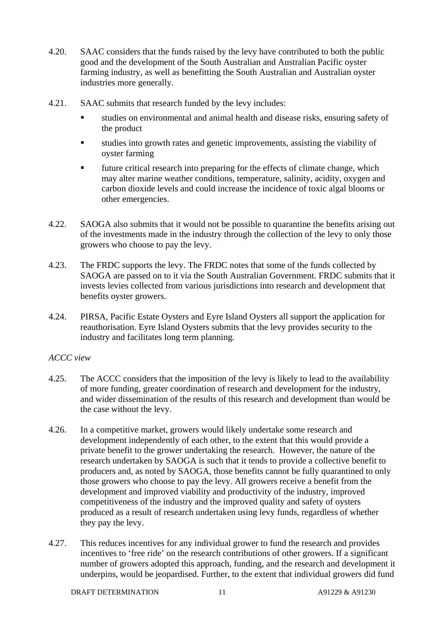- 4.20. SAAC considers that the funds raised by the levy have contributed to both the public good and the development of the South Australian and Australian Pacific oyster farming industry, as well as benefitting the South Australian and Australian oyster industries more generally.
- 4.21. SAAC submits that research funded by the levy includes:
	- studies on environmental and animal health and disease risks, ensuring safety of the product
	- studies into growth rates and genetic improvements, assisting the viability of oyster farming
	- future critical research into preparing for the effects of climate change, which may alter marine weather conditions, temperature, salinity, acidity, oxygen and carbon dioxide levels and could increase the incidence of toxic algal blooms or other emergencies.
- 4.22. SAOGA also submits that it would not be possible to quarantine the benefits arising out of the investments made in the industry through the collection of the levy to only those growers who choose to pay the levy.
- 4.23. The FRDC supports the levy. The FRDC notes that some of the funds collected by SAOGA are passed on to it via the South Australian Government. FRDC submits that it invests levies collected from various jurisdictions into research and development that benefits oyster growers.
- 4.24. PIRSA, Pacific Estate Oysters and Eyre Island Oysters all support the application for reauthorisation. Eyre Island Oysters submits that the levy provides security to the industry and facilitates long term planning.

#### *ACCC view*

- 4.25. The ACCC considers that the imposition of the levy is likely to lead to the availability of more funding, greater coordination of research and development for the industry, and wider dissemination of the results of this research and development than would be the case without the levy.
- 4.26. In a competitive market, growers would likely undertake some research and development independently of each other, to the extent that this would provide a private benefit to the grower undertaking the research. However, the nature of the research undertaken by SAOGA is such that it tends to provide a collective benefit to producers and, as noted by SAOGA, those benefits cannot be fully quarantined to only those growers who choose to pay the levy. All growers receive a benefit from the development and improved viability and productivity of the industry, improved competitiveness of the industry and the improved quality and safety of oysters produced as a result of research undertaken using levy funds, regardless of whether they pay the levy.
- 4.27. This reduces incentives for any individual grower to fund the research and provides incentives to 'free ride' on the research contributions of other growers. If a significant number of growers adopted this approach, funding, and the research and development it underpins, would be jeopardised. Further, to the extent that individual growers did fund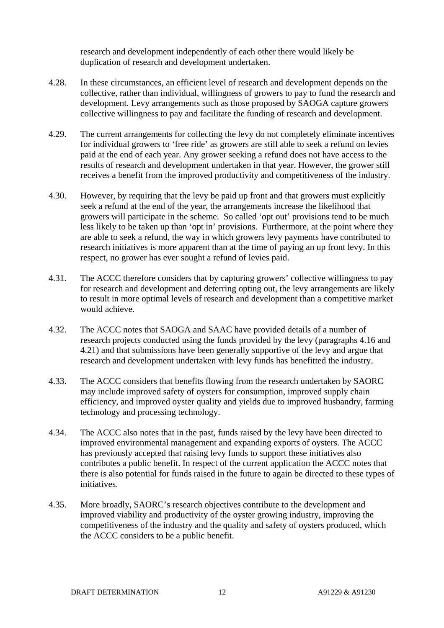research and development independently of each other there would likely be duplication of research and development undertaken.

- 4.28. In these circumstances, an efficient level of research and development depends on the collective, rather than individual, willingness of growers to pay to fund the research and development. Levy arrangements such as those proposed by SAOGA capture growers collective willingness to pay and facilitate the funding of research and development.
- 4.29. The current arrangements for collecting the levy do not completely eliminate incentives for individual growers to 'free ride' as growers are still able to seek a refund on levies paid at the end of each year. Any grower seeking a refund does not have access to the results of research and development undertaken in that year. However, the grower still receives a benefit from the improved productivity and competitiveness of the industry.
- 4.30. However, by requiring that the levy be paid up front and that growers must explicitly seek a refund at the end of the year, the arrangements increase the likelihood that growers will participate in the scheme. So called 'opt out' provisions tend to be much less likely to be taken up than 'opt in' provisions. Furthermore, at the point where they are able to seek a refund, the way in which growers levy payments have contributed to research initiatives is more apparent than at the time of paying an up front levy. In this respect, no grower has ever sought a refund of levies paid.
- 4.31. The ACCC therefore considers that by capturing growers' collective willingness to pay for research and development and deterring opting out, the levy arrangements are likely to result in more optimal levels of research and development than a competitive market would achieve.
- 4.32. The ACCC notes that SAOGA and SAAC have provided details of a number of research projects conducted using the funds provided by the levy (paragraphs 4.16 and 4.21) and that submissions have been generally supportive of the levy and argue that research and development undertaken with levy funds has benefitted the industry.
- 4.33. The ACCC considers that benefits flowing from the research undertaken by SAORC may include improved safety of oysters for consumption, improved supply chain efficiency, and improved oyster quality and yields due to improved husbandry, farming technology and processing technology.
- 4.34. The ACCC also notes that in the past, funds raised by the levy have been directed to improved environmental management and expanding exports of oysters. The ACCC has previously accepted that raising levy funds to support these initiatives also contributes a public benefit. In respect of the current application the ACCC notes that there is also potential for funds raised in the future to again be directed to these types of initiatives.
- 4.35. More broadly, SAORC's research objectives contribute to the development and improved viability and productivity of the oyster growing industry, improving the competitiveness of the industry and the quality and safety of oysters produced, which the ACCC considers to be a public benefit.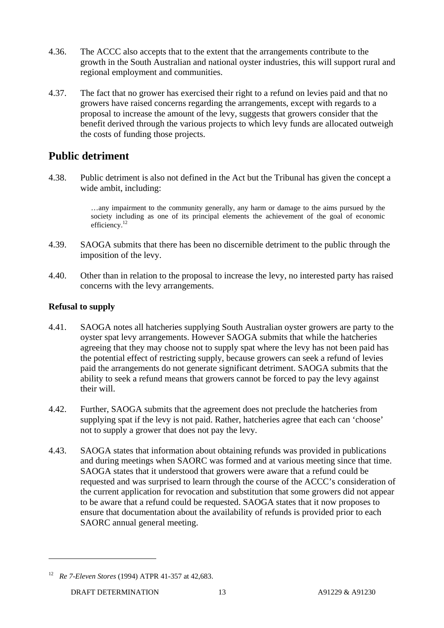- 4.36. The ACCC also accepts that to the extent that the arrangements contribute to the growth in the South Australian and national oyster industries, this will support rural and regional employment and communities.
- 4.37. The fact that no grower has exercised their right to a refund on levies paid and that no growers have raised concerns regarding the arrangements, except with regards to a proposal to increase the amount of the levy, suggests that growers consider that the benefit derived through the various projects to which levy funds are allocated outweigh the costs of funding those projects.

### **Public detriment**

4.38. Public detriment is also not defined in the Act but the Tribunal has given the concept a wide ambit, including:

> …any impairment to the community generally, any harm or damage to the aims pursued by the society including as one of its principal elements the achievement of the goal of economic efficiency.<sup>12</sup>

- 4.39. SAOGA submits that there has been no discernible detriment to the public through the imposition of the levy.
- 4.40. Other than in relation to the proposal to increase the levy, no interested party has raised concerns with the levy arrangements.

#### **Refusal to supply**

- 4.41. SAOGA notes all hatcheries supplying South Australian oyster growers are party to the oyster spat levy arrangements. However SAOGA submits that while the hatcheries agreeing that they may choose not to supply spat where the levy has not been paid has the potential effect of restricting supply, because growers can seek a refund of levies paid the arrangements do not generate significant detriment. SAOGA submits that the ability to seek a refund means that growers cannot be forced to pay the levy against their will.
- 4.42. Further, SAOGA submits that the agreement does not preclude the hatcheries from supplying spat if the levy is not paid. Rather, hatcheries agree that each can 'choose' not to supply a grower that does not pay the levy.
- 4.43. SAOGA states that information about obtaining refunds was provided in publications and during meetings when SAORC was formed and at various meeting since that time. SAOGA states that it understood that growers were aware that a refund could be requested and was surprised to learn through the course of the ACCC's consideration of the current application for revocation and substitution that some growers did not appear to be aware that a refund could be requested. SAOGA states that it now proposes to ensure that documentation about the availability of refunds is provided prior to each SAORC annual general meeting.

<sup>12</sup> *Re 7-Eleven Stores* (1994) ATPR 41-357 at 42,683.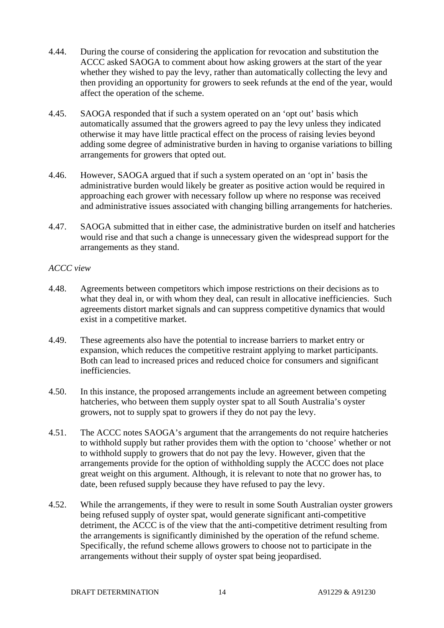- 4.44. During the course of considering the application for revocation and substitution the ACCC asked SAOGA to comment about how asking growers at the start of the year whether they wished to pay the levy, rather than automatically collecting the levy and then providing an opportunity for growers to seek refunds at the end of the year, would affect the operation of the scheme.
- 4.45. SAOGA responded that if such a system operated on an 'opt out' basis which automatically assumed that the growers agreed to pay the levy unless they indicated otherwise it may have little practical effect on the process of raising levies beyond adding some degree of administrative burden in having to organise variations to billing arrangements for growers that opted out.
- 4.46. However, SAOGA argued that if such a system operated on an 'opt in' basis the administrative burden would likely be greater as positive action would be required in approaching each grower with necessary follow up where no response was received and administrative issues associated with changing billing arrangements for hatcheries.
- 4.47. SAOGA submitted that in either case, the administrative burden on itself and hatcheries would rise and that such a change is unnecessary given the widespread support for the arrangements as they stand.

#### *ACCC view*

- 4.48. Agreements between competitors which impose restrictions on their decisions as to what they deal in, or with whom they deal, can result in allocative inefficiencies. Such agreements distort market signals and can suppress competitive dynamics that would exist in a competitive market.
- 4.49. These agreements also have the potential to increase barriers to market entry or expansion, which reduces the competitive restraint applying to market participants. Both can lead to increased prices and reduced choice for consumers and significant inefficiencies.
- 4.50. In this instance, the proposed arrangements include an agreement between competing hatcheries, who between them supply oyster spat to all South Australia's oyster growers, not to supply spat to growers if they do not pay the levy.
- 4.51. The ACCC notes SAOGA's argument that the arrangements do not require hatcheries to withhold supply but rather provides them with the option to 'choose' whether or not to withhold supply to growers that do not pay the levy. However, given that the arrangements provide for the option of withholding supply the ACCC does not place great weight on this argument. Although, it is relevant to note that no grower has, to date, been refused supply because they have refused to pay the levy.
- 4.52. While the arrangements, if they were to result in some South Australian oyster growers being refused supply of oyster spat, would generate significant anti-competitive detriment, the ACCC is of the view that the anti-competitive detriment resulting from the arrangements is significantly diminished by the operation of the refund scheme. Specifically, the refund scheme allows growers to choose not to participate in the arrangements without their supply of oyster spat being jeopardised.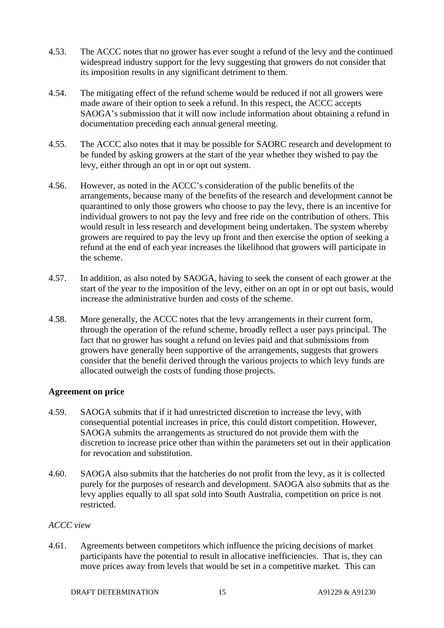- 4.53. The ACCC notes that no grower has ever sought a refund of the levy and the continued widespread industry support for the levy suggesting that growers do not consider that its imposition results in any significant detriment to them.
- 4.54. The mitigating effect of the refund scheme would be reduced if not all growers were made aware of their option to seek a refund. In this respect, the ACCC accepts SAOGA's submission that it will now include information about obtaining a refund in documentation preceding each annual general meeting.
- 4.55. The ACCC also notes that it may be possible for SAORC research and development to be funded by asking growers at the start of the year whether they wished to pay the levy, either through an opt in or opt out system.
- 4.56. However, as noted in the ACCC's consideration of the public benefits of the arrangements, because many of the benefits of the research and development cannot be quarantined to only those growers who choose to pay the levy, there is an incentive for individual growers to not pay the levy and free ride on the contribution of others. This would result in less research and development being undertaken. The system whereby growers are required to pay the levy up front and then exercise the option of seeking a refund at the end of each year increases the likelihood that growers will participate in the scheme.
- 4.57. In addition, as also noted by SAOGA, having to seek the consent of each grower at the start of the year to the imposition of the levy, either on an opt in or opt out basis, would increase the administrative burden and costs of the scheme.
- 4.58. More generally, the ACCC notes that the levy arrangements in their current form, through the operation of the refund scheme, broadly reflect a user pays principal. The fact that no grower has sought a refund on levies paid and that submissions from growers have generally been supportive of the arrangements, suggests that growers consider that the benefit derived through the various projects to which levy funds are allocated outweigh the costs of funding those projects.

#### **Agreement on price**

- 4.59. SAOGA submits that if it had unrestricted discretion to increase the levy, with consequential potential increases in price, this could distort competition. However, SAOGA submits the arrangements as structured do not provide them with the discretion to increase price other than within the parameters set out in their application for revocation and substitution.
- 4.60. SAOGA also submits that the hatcheries do not profit from the levy, as it is collected purely for the purposes of research and development. SAOGA also submits that as the levy applies equally to all spat sold into South Australia, competition on price is not restricted.

#### *ACCC view*

4.61. Agreements between competitors which influence the pricing decisions of market participants have the potential to result in allocative inefficiencies. That is, they can move prices away from levels that would be set in a competitive market. This can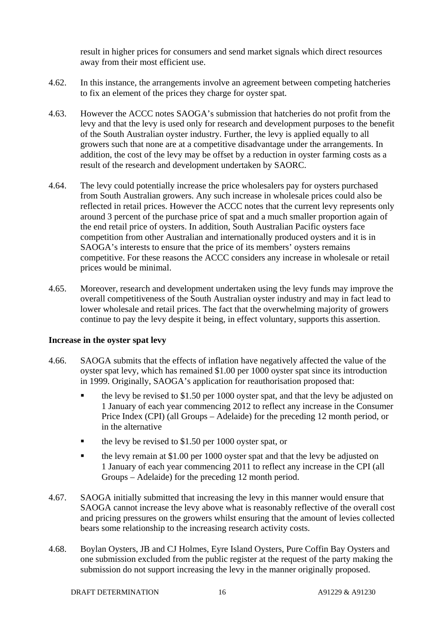result in higher prices for consumers and send market signals which direct resources away from their most efficient use.

- 4.62. In this instance, the arrangements involve an agreement between competing hatcheries to fix an element of the prices they charge for oyster spat.
- 4.63. However the ACCC notes SAOGA's submission that hatcheries do not profit from the levy and that the levy is used only for research and development purposes to the benefit of the South Australian oyster industry. Further, the levy is applied equally to all growers such that none are at a competitive disadvantage under the arrangements. In addition, the cost of the levy may be offset by a reduction in oyster farming costs as a result of the research and development undertaken by SAORC.
- 4.64. The levy could potentially increase the price wholesalers pay for oysters purchased from South Australian growers. Any such increase in wholesale prices could also be reflected in retail prices. However the ACCC notes that the current levy represents only around 3 percent of the purchase price of spat and a much smaller proportion again of the end retail price of oysters. In addition, South Australian Pacific oysters face competition from other Australian and internationally produced oysters and it is in SAOGA's interests to ensure that the price of its members' oysters remains competitive. For these reasons the ACCC considers any increase in wholesale or retail prices would be minimal.
- 4.65. Moreover, research and development undertaken using the levy funds may improve the overall competitiveness of the South Australian oyster industry and may in fact lead to lower wholesale and retail prices. The fact that the overwhelming majority of growers continue to pay the levy despite it being, in effect voluntary, supports this assertion.

#### **Increase in the oyster spat levy**

- 4.66. SAOGA submits that the effects of inflation have negatively affected the value of the oyster spat levy, which has remained \$1.00 per 1000 oyster spat since its introduction in 1999. Originally, SAOGA's application for reauthorisation proposed that:
	- the levy be revised to \$1.50 per 1000 oyster spat, and that the levy be adjusted on 1 January of each year commencing 2012 to reflect any increase in the Consumer Price Index (CPI) (all Groups – Adelaide) for the preceding 12 month period, or in the alternative
	- the levy be revised to \$1.50 per 1000 oyster spat, or
	- **the levy remain at \$1.00 per 1000 oyster spat and that the levy be adjusted on** 1 January of each year commencing 2011 to reflect any increase in the CPI (all Groups – Adelaide) for the preceding 12 month period.
- 4.67. SAOGA initially submitted that increasing the levy in this manner would ensure that SAOGA cannot increase the levy above what is reasonably reflective of the overall cost and pricing pressures on the growers whilst ensuring that the amount of levies collected bears some relationship to the increasing research activity costs.
- 4.68. Boylan Oysters, JB and CJ Holmes, Eyre Island Oysters, Pure Coffin Bay Oysters and one submission excluded from the public register at the request of the party making the submission do not support increasing the levy in the manner originally proposed.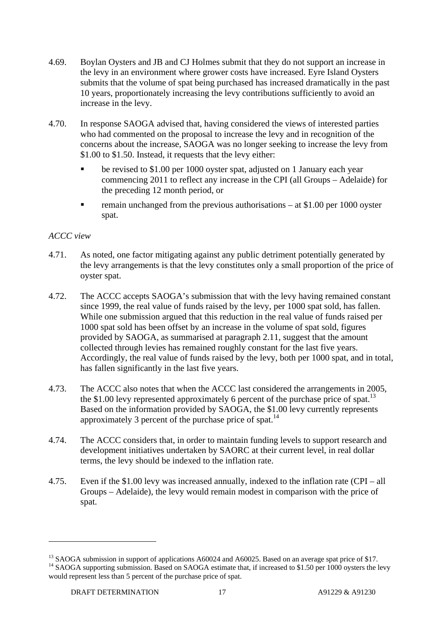- 4.69. Boylan Oysters and JB and CJ Holmes submit that they do not support an increase in the levy in an environment where grower costs have increased. Eyre Island Oysters submits that the volume of spat being purchased has increased dramatically in the past 10 years, proportionately increasing the levy contributions sufficiently to avoid an increase in the levy.
- 4.70. In response SAOGA advised that, having considered the views of interested parties who had commented on the proposal to increase the levy and in recognition of the concerns about the increase, SAOGA was no longer seeking to increase the levy from \$1.00 to \$1.50. Instead, it requests that the levy either:
	- be revised to \$1.00 per 1000 oyster spat, adjusted on 1 January each year commencing 2011 to reflect any increase in the CPI (all Groups – Adelaide) for the preceding 12 month period, or
	- remain unchanged from the previous authorisations at \$1.00 per 1000 oyster spat.

#### *ACCC view*

- 4.71. As noted, one factor mitigating against any public detriment potentially generated by the levy arrangements is that the levy constitutes only a small proportion of the price of oyster spat.
- 4.72. The ACCC accepts SAOGA's submission that with the levy having remained constant since 1999, the real value of funds raised by the levy, per 1000 spat sold, has fallen. While one submission argued that this reduction in the real value of funds raised per 1000 spat sold has been offset by an increase in the volume of spat sold, figures provided by SAOGA, as summarised at paragraph 2.11, suggest that the amount collected through levies has remained roughly constant for the last five years. Accordingly, the real value of funds raised by the levy, both per 1000 spat, and in total, has fallen significantly in the last five years.
- 4.73. The ACCC also notes that when the ACCC last considered the arrangements in 2005, the \$1.00 levy represented approximately 6 percent of the purchase price of spat.<sup>13</sup> Based on the information provided by SAOGA, the \$1.00 levy currently represents approximately 3 percent of the purchase price of spat.14
- 4.74. The ACCC considers that, in order to maintain funding levels to support research and development initiatives undertaken by SAORC at their current level, in real dollar terms, the levy should be indexed to the inflation rate.
- 4.75. Even if the \$1.00 levy was increased annually, indexed to the inflation rate (CPI all Groups – Adelaide), the levy would remain modest in comparison with the price of spat.

<sup>&</sup>lt;sup>13</sup> SAOGA submission in support of applications A60024 and A60025. Based on an average spat price of \$17. <sup>14</sup> SAOGA supporting submission. Based on SAOGA estimate that, if increased to \$1.50 per 1000 oysters the levy would represent less than 5 percent of the purchase price of spat.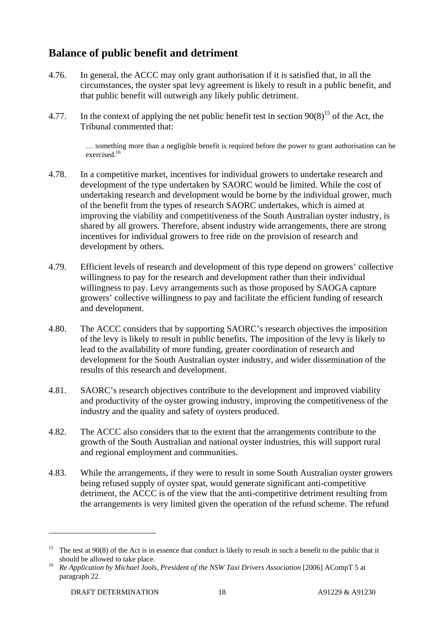## **Balance of public benefit and detriment**

- 4.76. In general, the ACCC may only grant authorisation if it is satisfied that, in all the circumstances, the oyster spat levy agreement is likely to result in a public benefit, and that public benefit will outweigh any likely public detriment.
- 4.77. In the context of applying the net public benefit test in section  $90(8)^{15}$  of the Act, the Tribunal commented that:

… something more than a negligible benefit is required before the power to grant authorisation can be exercised.<sup>16</sup>

- 4.78. In a competitive market, incentives for individual growers to undertake research and development of the type undertaken by SAORC would be limited. While the cost of undertaking research and development would be borne by the individual grower, much of the benefit from the types of research SAORC undertakes, which is aimed at improving the viability and competitiveness of the South Australian oyster industry, is shared by all growers. Therefore, absent industry wide arrangements, there are strong incentives for individual growers to free ride on the provision of research and development by others.
- 4.79. Efficient levels of research and development of this type depend on growers' collective willingness to pay for the research and development rather than their individual willingness to pay. Levy arrangements such as those proposed by SAOGA capture growers' collective willingness to pay and facilitate the efficient funding of research and development.
- 4.80. The ACCC considers that by supporting SAORC's research objectives the imposition of the levy is likely to result in public benefits. The imposition of the levy is likely to lead to the availability of more funding, greater coordination of research and development for the South Australian oyster industry, and wider dissemination of the results of this research and development.
- 4.81. SAORC's research objectives contribute to the development and improved viability and productivity of the oyster growing industry, improving the competitiveness of the industry and the quality and safety of oysters produced.
- 4.82. The ACCC also considers that to the extent that the arrangements contribute to the growth of the South Australian and national oyster industries, this will support rural and regional employment and communities.
- 4.83. While the arrangements, if they were to result in some South Australian oyster growers being refused supply of oyster spat, would generate significant anti-competitive detriment, the ACCC is of the view that the anti-competitive detriment resulting from the arrangements is very limited given the operation of the refund scheme. The refund

<sup>&</sup>lt;sup>15</sup> The test at  $90(8)$  of the Act is in essence that conduct is likely to result in such a benefit to the public that it

should be allowed to take place. 16 *Re Application by Michael Jools, President of the NSW Taxi Drivers Association* [2006] ACompT 5 at paragraph 22.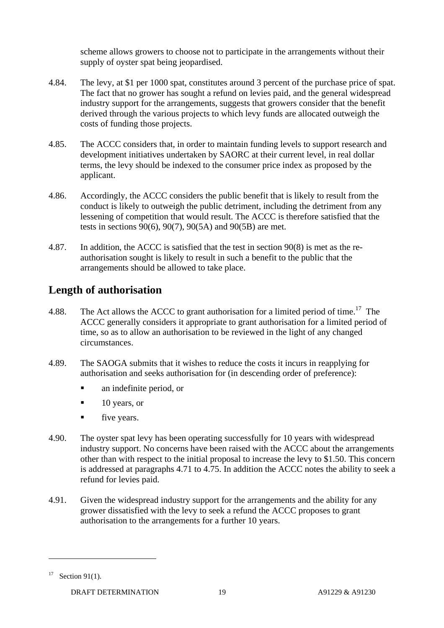scheme allows growers to choose not to participate in the arrangements without their supply of oyster spat being jeopardised.

- 4.84. The levy, at \$1 per 1000 spat, constitutes around 3 percent of the purchase price of spat. The fact that no grower has sought a refund on levies paid, and the general widespread industry support for the arrangements, suggests that growers consider that the benefit derived through the various projects to which levy funds are allocated outweigh the costs of funding those projects.
- 4.85. The ACCC considers that, in order to maintain funding levels to support research and development initiatives undertaken by SAORC at their current level, in real dollar terms, the levy should be indexed to the consumer price index as proposed by the applicant.
- 4.86. Accordingly, the ACCC considers the public benefit that is likely to result from the conduct is likely to outweigh the public detriment, including the detriment from any lessening of competition that would result. The ACCC is therefore satisfied that the tests in sections 90(6), 90(7), 90(5A) and 90(5B) are met.
- 4.87. In addition, the ACCC is satisfied that the test in section 90(8) is met as the reauthorisation sought is likely to result in such a benefit to the public that the arrangements should be allowed to take place.

## **Length of authorisation**

- 4.88. The Act allows the ACCC to grant authorisation for a limited period of time.<sup>17</sup> The ACCC generally considers it appropriate to grant authorisation for a limited period of time, so as to allow an authorisation to be reviewed in the light of any changed circumstances.
- 4.89. The SAOGA submits that it wishes to reduce the costs it incurs in reapplying for authorisation and seeks authorisation for (in descending order of preference):
	- **a** an indefinite period, or
	- $\blacksquare$  10 years, or
	- **five years.**
- 4.90. The oyster spat levy has been operating successfully for 10 years with widespread industry support. No concerns have been raised with the ACCC about the arrangements other than with respect to the initial proposal to increase the levy to \$1.50. This concern is addressed at paragraphs 4.71 to 4.75. In addition the ACCC notes the ability to seek a refund for levies paid.
- 4.91. Given the widespread industry support for the arrangements and the ability for any grower dissatisfied with the levy to seek a refund the ACCC proposes to grant authorisation to the arrangements for a further 10 years.

<sup>&</sup>lt;sup>17</sup> Section 91(1).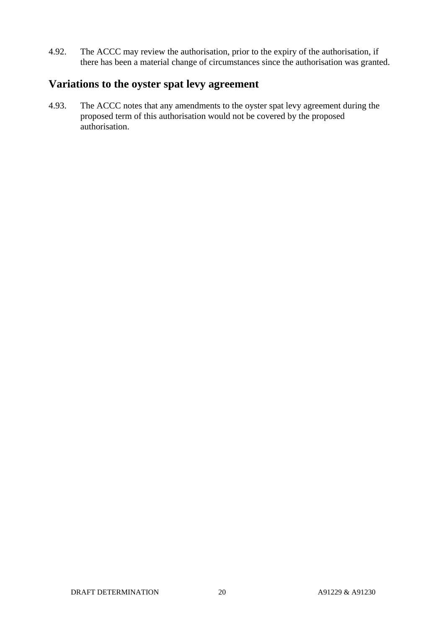4.92. The ACCC may review the authorisation, prior to the expiry of the authorisation, if there has been a material change of circumstances since the authorisation was granted.

### **Variations to the oyster spat levy agreement**

4.93. The ACCC notes that any amendments to the oyster spat levy agreement during the proposed term of this authorisation would not be covered by the proposed authorisation.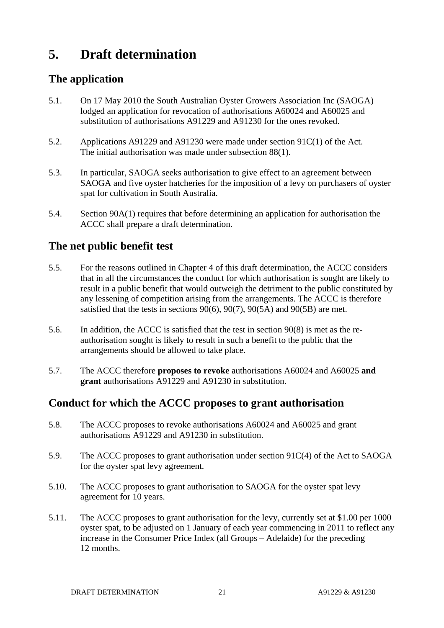## **5. Draft determination**

## **The application**

- 5.1. On 17 May 2010 the South Australian Oyster Growers Association Inc (SAOGA) lodged an application for revocation of authorisations A60024 and A60025 and substitution of authorisations A91229 and A91230 for the ones revoked.
- 5.2. Applications A91229 and A91230 were made under section 91C(1) of the Act. The initial authorisation was made under subsection 88(1).
- 5.3. In particular, SAOGA seeks authorisation to give effect to an agreement between SAOGA and five oyster hatcheries for the imposition of a levy on purchasers of oyster spat for cultivation in South Australia.
- 5.4. Section 90A(1) requires that before determining an application for authorisation the ACCC shall prepare a draft determination.

## **The net public benefit test**

- 5.5. For the reasons outlined in Chapter 4 of this draft determination, the ACCC considers that in all the circumstances the conduct for which authorisation is sought are likely to result in a public benefit that would outweigh the detriment to the public constituted by any lessening of competition arising from the arrangements. The ACCC is therefore satisfied that the tests in sections 90(6), 90(7), 90(5A) and 90(5B) are met.
- 5.6. In addition, the ACCC is satisfied that the test in section 90(8) is met as the reauthorisation sought is likely to result in such a benefit to the public that the arrangements should be allowed to take place.
- 5.7. The ACCC therefore **proposes to revoke** authorisations A60024 and A60025 **and grant** authorisations A91229 and A91230 in substitution.

## **Conduct for which the ACCC proposes to grant authorisation**

- 5.8. The ACCC proposes to revoke authorisations A60024 and A60025 and grant authorisations A91229 and A91230 in substitution.
- 5.9. The ACCC proposes to grant authorisation under section 91C(4) of the Act to SAOGA for the oyster spat levy agreement*.*
- 5.10. The ACCC proposes to grant authorisation to SAOGA for the oyster spat levy agreement for 10 years.
- 5.11. The ACCC proposes to grant authorisation for the levy, currently set at \$1.00 per 1000 oyster spat, to be adjusted on 1 January of each year commencing in 2011 to reflect any increase in the Consumer Price Index (all Groups – Adelaide) for the preceding 12 months.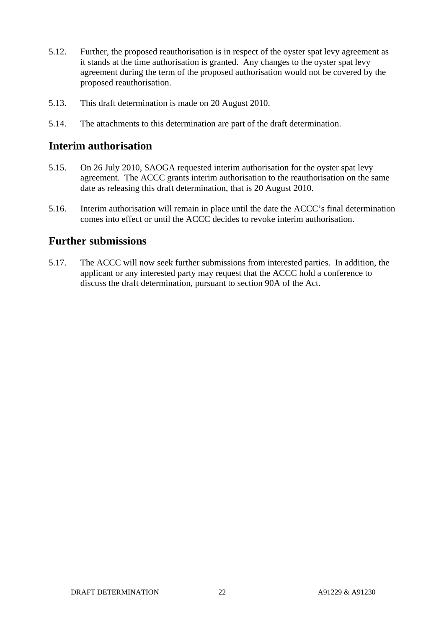- 5.12. Further, the proposed reauthorisation is in respect of the oyster spat levy agreement as it stands at the time authorisation is granted. Any changes to the oyster spat levy agreement during the term of the proposed authorisation would not be covered by the proposed reauthorisation.
- 5.13. This draft determination is made on 20 August 2010.
- 5.14. The attachments to this determination are part of the draft determination.

### **Interim authorisation**

- 5.15. On 26 July 2010, SAOGA requested interim authorisation for the oyster spat levy agreement. The ACCC grants interim authorisation to the reauthorisation on the same date as releasing this draft determination, that is 20 August 2010.
- 5.16. Interim authorisation will remain in place until the date the ACCC's final determination comes into effect or until the ACCC decides to revoke interim authorisation.

### **Further submissions**

5.17. The ACCC will now seek further submissions from interested parties. In addition, the applicant or any interested party may request that the ACCC hold a conference to discuss the draft determination, pursuant to section 90A of the Act.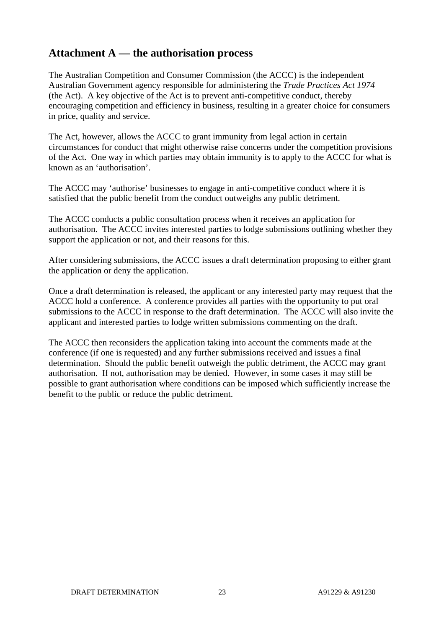## **Attachment A — the authorisation process**

The Australian Competition and Consumer Commission (the ACCC) is the independent Australian Government agency responsible for administering the *Trade Practices Act 1974*  (the Act). A key objective of the Act is to prevent anti-competitive conduct, thereby encouraging competition and efficiency in business, resulting in a greater choice for consumers in price, quality and service.

The Act, however, allows the ACCC to grant immunity from legal action in certain circumstances for conduct that might otherwise raise concerns under the competition provisions of the Act. One way in which parties may obtain immunity is to apply to the ACCC for what is known as an 'authorisation'.

The ACCC may 'authorise' businesses to engage in anti-competitive conduct where it is satisfied that the public benefit from the conduct outweighs any public detriment.

The ACCC conducts a public consultation process when it receives an application for authorisation. The ACCC invites interested parties to lodge submissions outlining whether they support the application or not, and their reasons for this.

After considering submissions, the ACCC issues a draft determination proposing to either grant the application or deny the application.

Once a draft determination is released, the applicant or any interested party may request that the ACCC hold a conference. A conference provides all parties with the opportunity to put oral submissions to the ACCC in response to the draft determination. The ACCC will also invite the applicant and interested parties to lodge written submissions commenting on the draft.

The ACCC then reconsiders the application taking into account the comments made at the conference (if one is requested) and any further submissions received and issues a final determination. Should the public benefit outweigh the public detriment, the ACCC may grant authorisation. If not, authorisation may be denied. However, in some cases it may still be possible to grant authorisation where conditions can be imposed which sufficiently increase the benefit to the public or reduce the public detriment.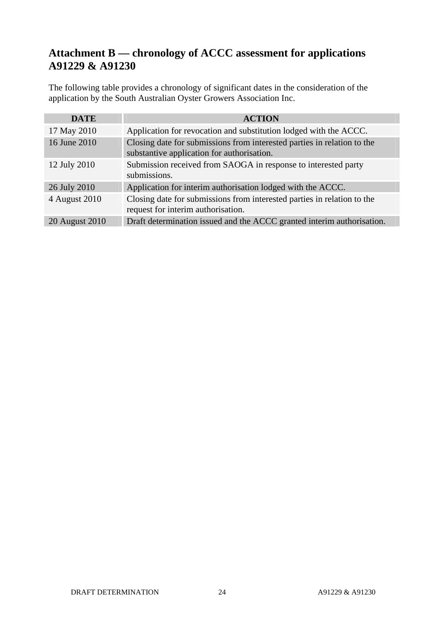## **Attachment B — chronology of ACCC assessment for applications A91229 & A91230**

The following table provides a chronology of significant dates in the consideration of the application by the South Australian Oyster Growers Association Inc.

| <b>DATE</b>    | <b>ACTION</b>                                                                                                         |
|----------------|-----------------------------------------------------------------------------------------------------------------------|
| 17 May 2010    | Application for revocation and substitution lodged with the ACCC.                                                     |
| 16 June 2010   | Closing date for submissions from interested parties in relation to the<br>substantive application for authorisation. |
| 12 July 2010   | Submission received from SAOGA in response to interested party<br>submissions.                                        |
| 26 July 2010   | Application for interim authorisation lodged with the ACCC.                                                           |
| 4 August 2010  | Closing date for submissions from interested parties in relation to the<br>request for interim authorisation.         |
| 20 August 2010 | Draft determination issued and the ACCC granted interim authorisation.                                                |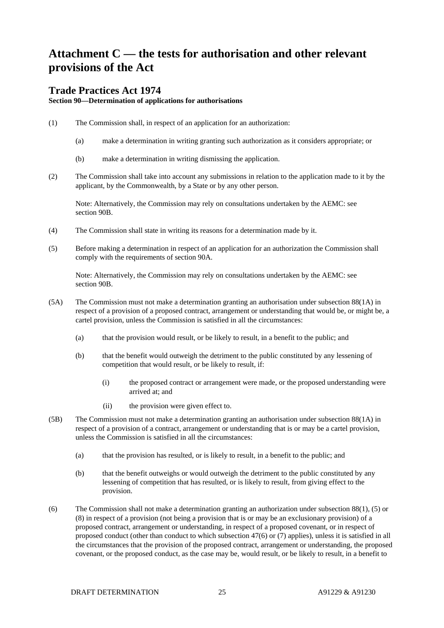## **Attachment C — the tests for authorisation and other relevant provisions of the Act**

#### **Trade Practices Act 1974**

**Section 90—Determination of applications for authorisations**

- (1) The Commission shall, in respect of an application for an authorization:
	- (a) make a determination in writing granting such authorization as it considers appropriate; or
	- (b) make a determination in writing dismissing the application.
- (2) The Commission shall take into account any submissions in relation to the application made to it by the applicant, by the Commonwealth, by a State or by any other person.

Note: Alternatively, the Commission may rely on consultations undertaken by the AEMC: see section 90B.

- (4) The Commission shall state in writing its reasons for a determination made by it.
- (5) Before making a determination in respect of an application for an authorization the Commission shall comply with the requirements of section 90A.

Note: Alternatively, the Commission may rely on consultations undertaken by the AEMC: see section 90B.

- (5A) The Commission must not make a determination granting an authorisation under subsection 88(1A) in respect of a provision of a proposed contract, arrangement or understanding that would be, or might be, a cartel provision, unless the Commission is satisfied in all the circumstances:
	- (a) that the provision would result, or be likely to result, in a benefit to the public; and
	- (b) that the benefit would outweigh the detriment to the public constituted by any lessening of competition that would result, or be likely to result, if:
		- (i) the proposed contract or arrangement were made, or the proposed understanding were arrived at; and
		- (ii) the provision were given effect to.
- (5B) The Commission must not make a determination granting an authorisation under subsection 88(1A) in respect of a provision of a contract, arrangement or understanding that is or may be a cartel provision, unless the Commission is satisfied in all the circumstances:
	- (a) that the provision has resulted, or is likely to result, in a benefit to the public; and
	- (b) that the benefit outweighs or would outweigh the detriment to the public constituted by any lessening of competition that has resulted, or is likely to result, from giving effect to the provision.
- (6) The Commission shall not make a determination granting an authorization under subsection 88(1), (5) or (8) in respect of a provision (not being a provision that is or may be an exclusionary provision) of a proposed contract, arrangement or understanding, in respect of a proposed covenant, or in respect of proposed conduct (other than conduct to which subsection 47(6) or (7) applies), unless it is satisfied in all the circumstances that the provision of the proposed contract, arrangement or understanding, the proposed covenant, or the proposed conduct, as the case may be, would result, or be likely to result, in a benefit to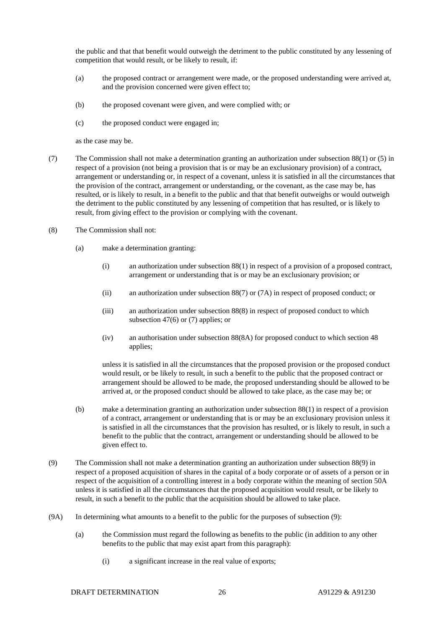the public and that that benefit would outweigh the detriment to the public constituted by any lessening of competition that would result, or be likely to result, if:

- (a) the proposed contract or arrangement were made, or the proposed understanding were arrived at, and the provision concerned were given effect to;
- (b) the proposed covenant were given, and were complied with; or
- (c) the proposed conduct were engaged in;

as the case may be.

- (7) The Commission shall not make a determination granting an authorization under subsection 88(1) or (5) in respect of a provision (not being a provision that is or may be an exclusionary provision) of a contract, arrangement or understanding or, in respect of a covenant, unless it is satisfied in all the circumstances that the provision of the contract, arrangement or understanding, or the covenant, as the case may be, has resulted, or is likely to result, in a benefit to the public and that that benefit outweighs or would outweigh the detriment to the public constituted by any lessening of competition that has resulted, or is likely to result, from giving effect to the provision or complying with the covenant.
- (8) The Commission shall not:
	- (a) make a determination granting:
		- (i) an authorization under subsection 88(1) in respect of a provision of a proposed contract, arrangement or understanding that is or may be an exclusionary provision; or
		- (ii) an authorization under subsection 88(7) or (7A) in respect of proposed conduct; or
		- (iii) an authorization under subsection 88(8) in respect of proposed conduct to which subsection 47(6) or (7) applies; or
		- (iv) an authorisation under subsection 88(8A) for proposed conduct to which section 48 applies;

unless it is satisfied in all the circumstances that the proposed provision or the proposed conduct would result, or be likely to result, in such a benefit to the public that the proposed contract or arrangement should be allowed to be made, the proposed understanding should be allowed to be arrived at, or the proposed conduct should be allowed to take place, as the case may be; or

- (b) make a determination granting an authorization under subsection 88(1) in respect of a provision of a contract, arrangement or understanding that is or may be an exclusionary provision unless it is satisfied in all the circumstances that the provision has resulted, or is likely to result, in such a benefit to the public that the contract, arrangement or understanding should be allowed to be given effect to.
- (9) The Commission shall not make a determination granting an authorization under subsection 88(9) in respect of a proposed acquisition of shares in the capital of a body corporate or of assets of a person or in respect of the acquisition of a controlling interest in a body corporate within the meaning of section 50A unless it is satisfied in all the circumstances that the proposed acquisition would result, or be likely to result, in such a benefit to the public that the acquisition should be allowed to take place.
- (9A) In determining what amounts to a benefit to the public for the purposes of subsection (9):
	- (a) the Commission must regard the following as benefits to the public (in addition to any other benefits to the public that may exist apart from this paragraph):
		- (i) a significant increase in the real value of exports;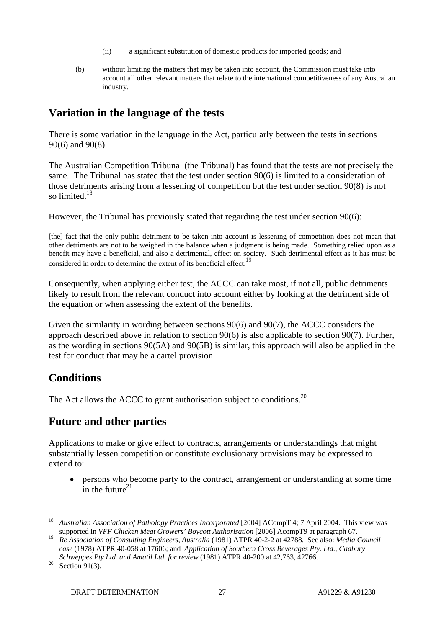- (ii) a significant substitution of domestic products for imported goods; and
- (b) without limiting the matters that may be taken into account, the Commission must take into account all other relevant matters that relate to the international competitiveness of any Australian industry.

## **Variation in the language of the tests**

There is some variation in the language in the Act, particularly between the tests in sections 90(6) and 90(8).

The Australian Competition Tribunal (the Tribunal) has found that the tests are not precisely the same. The Tribunal has stated that the test under section 90(6) is limited to a consideration of those detriments arising from a lessening of competition but the test under section 90(8) is not so limited. $18$ 

However, the Tribunal has previously stated that regarding the test under section 90(6):

[the] fact that the only public detriment to be taken into account is lessening of competition does not mean that other detriments are not to be weighed in the balance when a judgment is being made. Something relied upon as a benefit may have a beneficial, and also a detrimental, effect on society. Such detrimental effect as it has must be considered in order to determine the extent of its beneficial effect.<sup>19</sup>

Consequently, when applying either test, the ACCC can take most, if not all, public detriments likely to result from the relevant conduct into account either by looking at the detriment side of the equation or when assessing the extent of the benefits.

Given the similarity in wording between sections 90(6) and 90(7), the ACCC considers the approach described above in relation to section 90(6) is also applicable to section 90(7). Further, as the wording in sections 90(5A) and 90(5B) is similar, this approach will also be applied in the test for conduct that may be a cartel provision.

## **Conditions**

The Act allows the ACCC to grant authorisation subject to conditions.<sup>20</sup>

## **Future and other parties**

Applications to make or give effect to contracts, arrangements or understandings that might substantially lessen competition or constitute exclusionary provisions may be expressed to extend to:

• persons who become party to the contract, arrangement or understanding at some time in the future $^{21}$ 

<sup>&</sup>lt;sup>18</sup> *Australian Association of Pathology Practices Incorporated* [2004] ACompT 4; 7 April 2004. This view was supported in *VFF Chicken Meat Growers' Boycott Authorisation* [2006] AcompT9 at paragraph 67.

<sup>19</sup> *Re Association of Consulting Engineers, Australia* (1981) ATPR 40-2-2 at 42788. See also: *Media Council case* (1978) ATPR 40-058 at 17606; and *Application of Southern Cross Beverages Pty. Ltd., Cadbury* 

*Schweppes Pty Ltd and Amatil Ltd for review* (1981) ATPR 40-200 at 42,763, 42766.<br><sup>20</sup> Section 91(3).